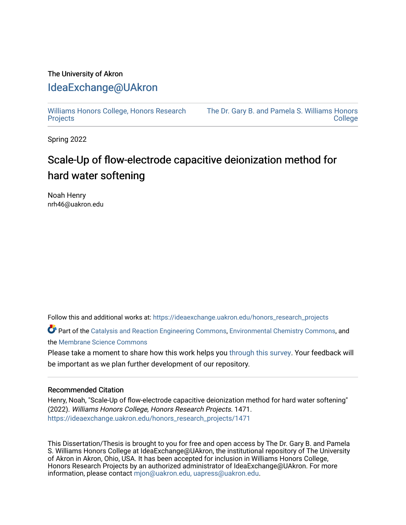### The University of Akron [IdeaExchange@UAkron](https://ideaexchange.uakron.edu/)

[Williams Honors College, Honors Research](https://ideaexchange.uakron.edu/honors_research_projects)  **[Projects](https://ideaexchange.uakron.edu/honors_research_projects)** 

[The Dr. Gary B. and Pamela S. Williams Honors](https://ideaexchange.uakron.edu/honorscollege_ideas)  **College** 

Spring 2022

## Scale-Up of flow-electrode capacitive deionization method for hard water softening

Noah Henry nrh46@uakron.edu

Follow this and additional works at: [https://ideaexchange.uakron.edu/honors\\_research\\_projects](https://ideaexchange.uakron.edu/honors_research_projects?utm_source=ideaexchange.uakron.edu%2Fhonors_research_projects%2F1471&utm_medium=PDF&utm_campaign=PDFCoverPages) 

Part of the [Catalysis and Reaction Engineering Commons,](http://network.bepress.com/hgg/discipline/242?utm_source=ideaexchange.uakron.edu%2Fhonors_research_projects%2F1471&utm_medium=PDF&utm_campaign=PDFCoverPages) [Environmental Chemistry Commons](http://network.bepress.com/hgg/discipline/134?utm_source=ideaexchange.uakron.edu%2Fhonors_research_projects%2F1471&utm_medium=PDF&utm_campaign=PDFCoverPages), and the [Membrane Science Commons](http://network.bepress.com/hgg/discipline/244?utm_source=ideaexchange.uakron.edu%2Fhonors_research_projects%2F1471&utm_medium=PDF&utm_campaign=PDFCoverPages)

Please take a moment to share how this work helps you [through this survey](http://survey.az1.qualtrics.com/SE/?SID=SV_eEVH54oiCbOw05f&URL=https://ideaexchange.uakron.edu/honors_research_projects/1471). Your feedback will be important as we plan further development of our repository.

#### Recommended Citation

Henry, Noah, "Scale-Up of flow-electrode capacitive deionization method for hard water softening" (2022). Williams Honors College, Honors Research Projects. 1471. [https://ideaexchange.uakron.edu/honors\\_research\\_projects/1471](https://ideaexchange.uakron.edu/honors_research_projects/1471?utm_source=ideaexchange.uakron.edu%2Fhonors_research_projects%2F1471&utm_medium=PDF&utm_campaign=PDFCoverPages) 

This Dissertation/Thesis is brought to you for free and open access by The Dr. Gary B. and Pamela S. Williams Honors College at IdeaExchange@UAkron, the institutional repository of The University of Akron in Akron, Ohio, USA. It has been accepted for inclusion in Williams Honors College, Honors Research Projects by an authorized administrator of IdeaExchange@UAkron. For more information, please contact [mjon@uakron.edu, uapress@uakron.edu.](mailto:mjon@uakron.edu,%20uapress@uakron.edu)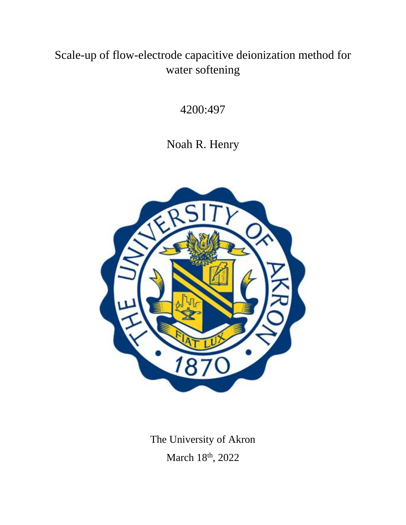# Scale-up of flow-electrode capacitive deionization method for water softening

4200:497

Noah R. Henry



The University of Akron March 18<sup>th</sup>, 2022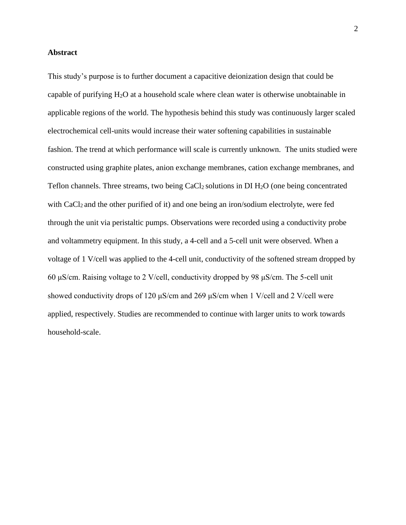#### **Abstract**

This study's purpose is to further document a capacitive deionization design that could be capable of purifying  $H_2O$  at a household scale where clean water is otherwise unobtainable in applicable regions of the world. The hypothesis behind this study was continuously larger scaled electrochemical cell-units would increase their water softening capabilities in sustainable fashion. The trend at which performance will scale is currently unknown. The units studied were constructed using graphite plates, anion exchange membranes, cation exchange membranes, and Teflon channels. Three streams, two being CaCl<sub>2</sub> solutions in DI  $H_2O$  (one being concentrated with CaCl<sub>2</sub> and the other purified of it) and one being an iron/sodium electrolyte, were fed through the unit via peristaltic pumps. Observations were recorded using a conductivity probe and voltammetry equipment. In this study, a 4-cell and a 5-cell unit were observed. When a voltage of 1 V/cell was applied to the 4-cell unit, conductivity of the softened stream dropped by 60 μS/cm. Raising voltage to 2 V/cell, conductivity dropped by 98 μS/cm. The 5-cell unit showed conductivity drops of 120 μS/cm and 269 μS/cm when 1 V/cell and 2 V/cell were applied, respectively. Studies are recommended to continue with larger units to work towards household-scale.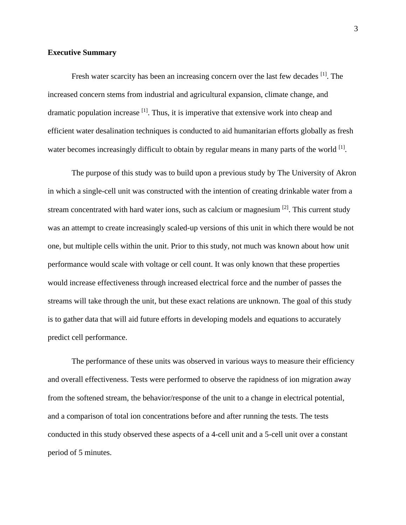#### **Executive Summary**

Fresh water scarcity has been an increasing concern over the last few decades <sup>[1]</sup>. The increased concern stems from industrial and agricultural expansion, climate change, and dramatic population increase  $\left[1\right]$ . Thus, it is imperative that extensive work into cheap and efficient water desalination techniques is conducted to aid humanitarian efforts globally as fresh water becomes increasingly difficult to obtain by regular means in many parts of the world [1].

The purpose of this study was to build upon a previous study by The University of Akron in which a single-cell unit was constructed with the intention of creating drinkable water from a stream concentrated with hard water ions, such as calcium or magnesium <sup>[2]</sup>. This current study was an attempt to create increasingly scaled-up versions of this unit in which there would be not one, but multiple cells within the unit. Prior to this study, not much was known about how unit performance would scale with voltage or cell count. It was only known that these properties would increase effectiveness through increased electrical force and the number of passes the streams will take through the unit, but these exact relations are unknown. The goal of this study is to gather data that will aid future efforts in developing models and equations to accurately predict cell performance.

The performance of these units was observed in various ways to measure their efficiency and overall effectiveness. Tests were performed to observe the rapidness of ion migration away from the softened stream, the behavior/response of the unit to a change in electrical potential, and a comparison of total ion concentrations before and after running the tests. The tests conducted in this study observed these aspects of a 4-cell unit and a 5-cell unit over a constant period of 5 minutes.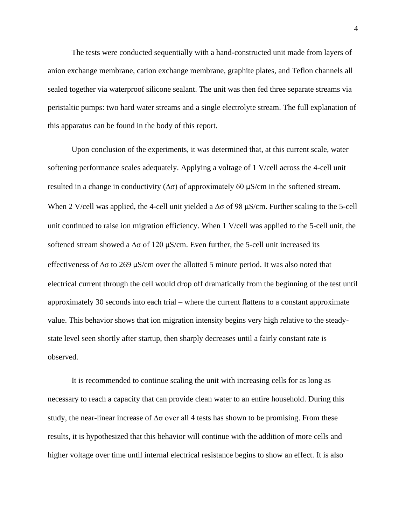The tests were conducted sequentially with a hand-constructed unit made from layers of anion exchange membrane, cation exchange membrane, graphite plates, and Teflon channels all sealed together via waterproof silicone sealant. The unit was then fed three separate streams via peristaltic pumps: two hard water streams and a single electrolyte stream. The full explanation of this apparatus can be found in the body of this report.

Upon conclusion of the experiments, it was determined that, at this current scale, water softening performance scales adequately. Applying a voltage of 1 V/cell across the 4-cell unit resulted in a change in conductivity  $(\Delta \sigma)$  of approximately 60  $\mu$ S/cm in the softened stream. When 2 V/cell was applied, the 4-cell unit yielded a  $\Delta\sigma$  of 98  $\mu$ S/cm. Further scaling to the 5-cell unit continued to raise ion migration efficiency. When 1 V/cell was applied to the 5-cell unit, the softened stream showed a  $\Delta\sigma$  of 120  $\mu$ S/cm. Even further, the 5-cell unit increased its effectiveness of  $\Delta\sigma$  to 269 μS/cm over the allotted 5 minute period. It was also noted that electrical current through the cell would drop off dramatically from the beginning of the test until approximately 30 seconds into each trial – where the current flattens to a constant approximate value. This behavior shows that ion migration intensity begins very high relative to the steadystate level seen shortly after startup, then sharply decreases until a fairly constant rate is observed.

It is recommended to continue scaling the unit with increasing cells for as long as necessary to reach a capacity that can provide clean water to an entire household. During this study, the near-linear increase of  $\Delta\sigma$  over all 4 tests has shown to be promising. From these results, it is hypothesized that this behavior will continue with the addition of more cells and higher voltage over time until internal electrical resistance begins to show an effect. It is also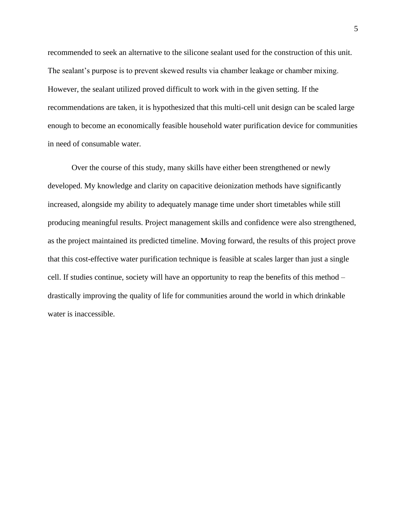recommended to seek an alternative to the silicone sealant used for the construction of this unit. The sealant's purpose is to prevent skewed results via chamber leakage or chamber mixing. However, the sealant utilized proved difficult to work with in the given setting. If the recommendations are taken, it is hypothesized that this multi-cell unit design can be scaled large enough to become an economically feasible household water purification device for communities in need of consumable water.

Over the course of this study, many skills have either been strengthened or newly developed. My knowledge and clarity on capacitive deionization methods have significantly increased, alongside my ability to adequately manage time under short timetables while still producing meaningful results. Project management skills and confidence were also strengthened, as the project maintained its predicted timeline. Moving forward, the results of this project prove that this cost-effective water purification technique is feasible at scales larger than just a single cell. If studies continue, society will have an opportunity to reap the benefits of this method – drastically improving the quality of life for communities around the world in which drinkable water is inaccessible.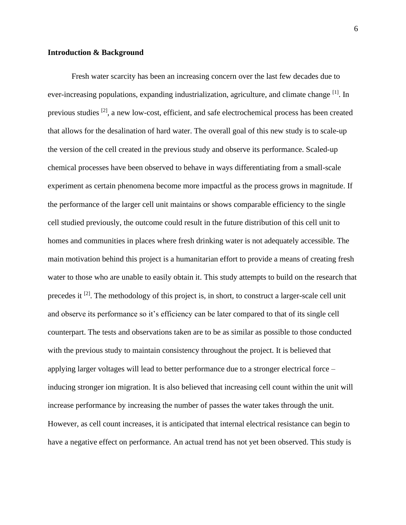#### **Introduction & Background**

Fresh water scarcity has been an increasing concern over the last few decades due to ever-increasing populations, expanding industrialization, agriculture, and climate change <sup>[1]</sup>. In previous studies <sup>[2]</sup>, a new low-cost, efficient, and safe electrochemical process has been created that allows for the desalination of hard water. The overall goal of this new study is to scale-up the version of the cell created in the previous study and observe its performance. Scaled-up chemical processes have been observed to behave in ways differentiating from a small-scale experiment as certain phenomena become more impactful as the process grows in magnitude. If the performance of the larger cell unit maintains or shows comparable efficiency to the single cell studied previously, the outcome could result in the future distribution of this cell unit to homes and communities in places where fresh drinking water is not adequately accessible. The main motivation behind this project is a humanitarian effort to provide a means of creating fresh water to those who are unable to easily obtain it. This study attempts to build on the research that precedes it <sup>[2]</sup>. The methodology of this project is, in short, to construct a larger-scale cell unit and observe its performance so it's efficiency can be later compared to that of its single cell counterpart. The tests and observations taken are to be as similar as possible to those conducted with the previous study to maintain consistency throughout the project. It is believed that applying larger voltages will lead to better performance due to a stronger electrical force – inducing stronger ion migration. It is also believed that increasing cell count within the unit will increase performance by increasing the number of passes the water takes through the unit. However, as cell count increases, it is anticipated that internal electrical resistance can begin to have a negative effect on performance. An actual trend has not yet been observed. This study is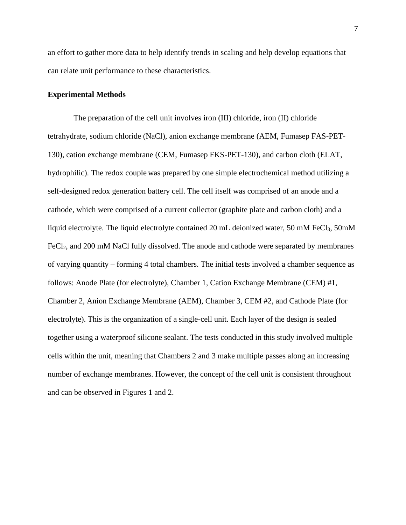an effort to gather more data to help identify trends in scaling and help develop equations that can relate unit performance to these characteristics.

#### **Experimental Methods**

The preparation of the cell unit involves iron (III) chloride, iron (II) chloride tetrahydrate, sodium chloride (NaCl), anion exchange membrane (AEM, Fumasep FAS-PET-130), cation exchange membrane (CEM, Fumasep FKS-PET-130), and carbon cloth (ELAT, hydrophilic). The redox couple was prepared by one simple electrochemical method utilizing a self-designed redox generation battery cell. The cell itself was comprised of an anode and a cathode, which were comprised of a current collector (graphite plate and carbon cloth) and a liquid electrolyte. The liquid electrolyte contained 20 mL deionized water, 50 mM FeCl<sub>3</sub>, 50mM FeCl<sub>2</sub>, and 200 mM NaCl fully dissolved. The anode and cathode were separated by membranes of varying quantity – forming 4 total chambers. The initial tests involved a chamber sequence as follows: Anode Plate (for electrolyte), Chamber 1, Cation Exchange Membrane (CEM) #1, Chamber 2, Anion Exchange Membrane (AEM), Chamber 3, CEM #2, and Cathode Plate (for electrolyte). This is the organization of a single-cell unit. Each layer of the design is sealed together using a waterproof silicone sealant. The tests conducted in this study involved multiple cells within the unit, meaning that Chambers 2 and 3 make multiple passes along an increasing number of exchange membranes. However, the concept of the cell unit is consistent throughout and can be observed in Figures 1 and 2.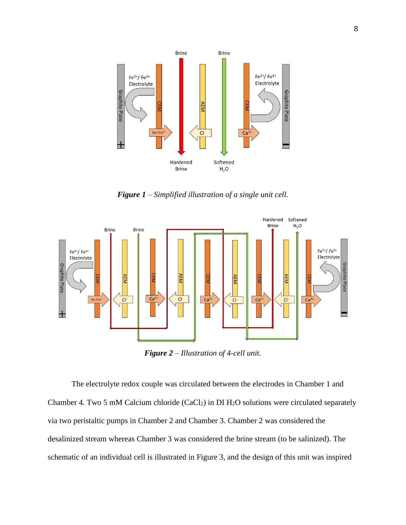

*Figure 1 – Simplified illustration of a single unit cell.*



*Figure 2 – Illustration of 4-cell unit.*

The electrolyte redox couple was circulated between the electrodes in Chamber 1 and Chamber 4. Two 5 mM Calcium chloride (CaCl<sub>2</sub>) in DI  $H_2O$  solutions were circulated separately via two peristaltic pumps in Chamber 2 and Chamber 3. Chamber 2 was considered the desalinized stream whereas Chamber 3 was considered the brine stream (to be salinized). The schematic of an individual cell is illustrated in Figure 3, and the design of this unit was inspired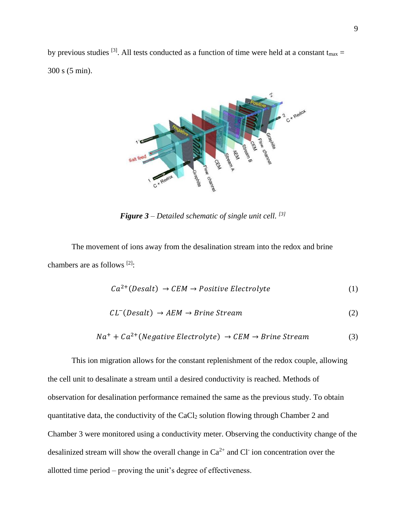by previous studies <sup>[3]</sup>. All tests conducted as a function of time were held at a constant  $t_{\text{max}} =$ 300 s (5 min).



*Figure 3 – Detailed schematic of single unit cell. [3]*

The movement of ions away from the desalination stream into the redox and brine chambers are as follows [2]:

$$
Ca^{2+}(Desalt) \rightarrow CEM \rightarrow Positive \: Electrolyte
$$
 (1)

$$
CL^{-}(Desalt) \rightarrow AEM \rightarrow Brine Stream
$$
 (2)

$$
Na^{+} + Ca^{2+} (Negative \, Electrolyte) \rightarrow \, CEM \rightarrow Brine \, Stream \tag{3}
$$

This ion migration allows for the constant replenishment of the redox couple, allowing the cell unit to desalinate a stream until a desired conductivity is reached. Methods of observation for desalination performance remained the same as the previous study. To obtain quantitative data, the conductivity of the  $CaCl<sub>2</sub>$  solution flowing through Chamber 2 and Chamber 3 were monitored using a conductivity meter. Observing the conductivity change of the desalinized stream will show the overall change in  $Ca^{2+}$  and Cl ion concentration over the allotted time period – proving the unit's degree of effectiveness.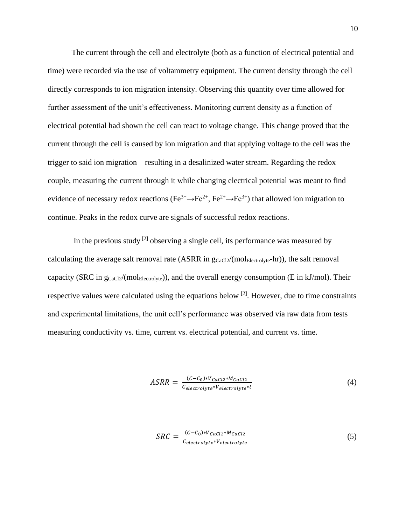The current through the cell and electrolyte (both as a function of electrical potential and time) were recorded via the use of voltammetry equipment. The current density through the cell directly corresponds to ion migration intensity. Observing this quantity over time allowed for further assessment of the unit's effectiveness. Monitoring current density as a function of electrical potential had shown the cell can react to voltage change. This change proved that the current through the cell is caused by ion migration and that applying voltage to the cell was the trigger to said ion migration – resulting in a desalinized water stream. Regarding the redox couple, measuring the current through it while changing electrical potential was meant to find evidence of necessary redox reactions ( $Fe^{3+} \rightarrow Fe^{2+}$ ,  $Fe^{2+} \rightarrow Fe^{3+}$ ) that allowed ion migration to continue. Peaks in the redox curve are signals of successful redox reactions.

In the previous study  $^{[2]}$  observing a single cell, its performance was measured by calculating the average salt removal rate (ASRR in  $g_{CaCl2}/(mol_{Electrolyte}\text{-}hr)$ ), the salt removal capacity (SRC in  $g_{CaCl2}/(mol_{Electrolve})$ ), and the overall energy consumption (E in kJ/mol). Their respective values were calculated using the equations below  $[2]$ . However, due to time constraints and experimental limitations, the unit cell's performance was observed via raw data from tests measuring conductivity vs. time, current vs. electrical potential, and current vs. time.

$$
ASRR = \frac{(C - C_0) * V_{CaCl2} * M_{CaCl2}}{C_{electrolyte} * V_{electrolyte} * t}
$$
\n
$$
\tag{4}
$$

$$
SRC = \frac{(C - C_0) * V_{CaCl2} * M_{CaCl2}}{C_{electrolyte} * V_{electrolyte}}
$$
\n
$$
(5)
$$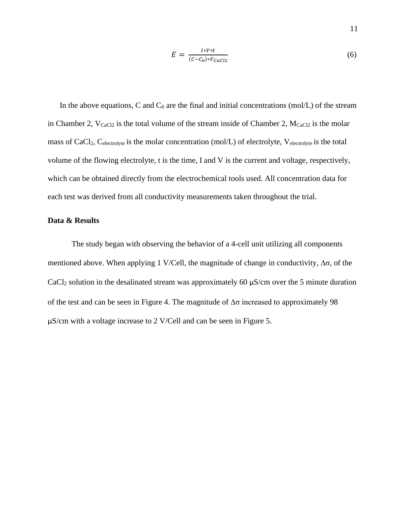$$
E = \frac{I*V*t}{(C-C_0)*V_{cac12}}\tag{6}
$$

In the above equations, C and  $C_0$  are the final and initial concentrations (mol/L) of the stream in Chamber 2,  $V_{CaCl2}$  is the total volume of the stream inside of Chamber 2,  $M_{CaCl2}$  is the molar mass of CaCl<sub>2</sub>, C<sub>electrolyte</sub> is the molar concentration (mol/L) of electrolyte, V<sub>electrolyte</sub> is the total volume of the flowing electrolyte, t is the time, I and V is the current and voltage, respectively, which can be obtained directly from the electrochemical tools used. All concentration data for each test was derived from all conductivity measurements taken throughout the trial.

#### **Data & Results**

The study began with observing the behavior of a 4-cell unit utilizing all components mentioned above. When applying 1 V/Cell, the magnitude of change in conductivity,  $\Delta \sigma$ , of the CaCl<sub>2</sub> solution in the desalinated stream was approximately 60  $\mu$ S/cm over the 5 minute duration of the test and can be seen in Figure 4. The magnitude of  $\Delta\sigma$  increased to approximately 98 μS/cm with a voltage increase to 2 V/Cell and can be seen in Figure 5.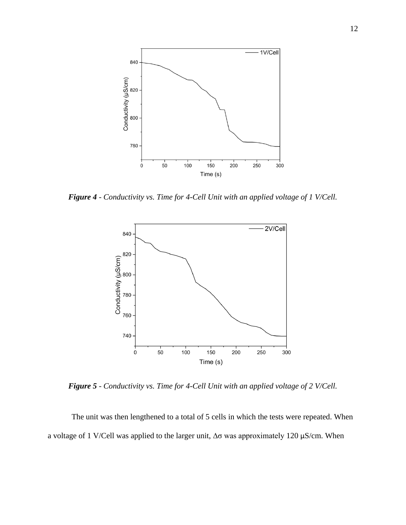

*Figure 4 - Conductivity vs. Time for 4-Cell Unit with an applied voltage of 1 V/Cell.*



*Figure 5 - Conductivity vs. Time for 4-Cell Unit with an applied voltage of 2 V/Cell.*

The unit was then lengthened to a total of 5 cells in which the tests were repeated. When a voltage of 1 V/Cell was applied to the larger unit,  $Δσ$  was approximately 120 μS/cm. When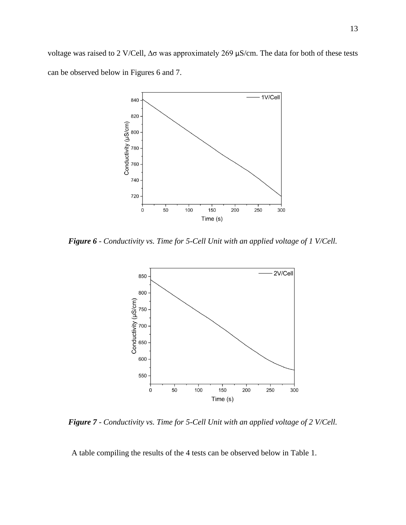voltage was raised to 2 V/Cell,  $Δσ$  was approximately 269 μS/cm. The data for both of these tests can be observed below in Figures 6 and 7.



*Figure 6 - Conductivity vs. Time for 5-Cell Unit with an applied voltage of 1 V/Cell.*



*Figure 7 - Conductivity vs. Time for 5-Cell Unit with an applied voltage of 2 V/Cell.*

A table compiling the results of the 4 tests can be observed below in Table 1.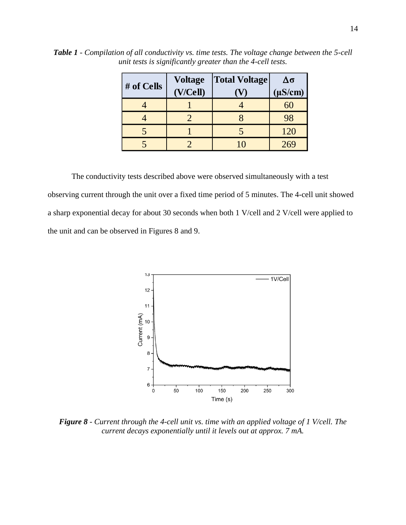| # of Cells | <b>Voltage</b> | <b>Total Voltage</b> | Δσ           |
|------------|----------------|----------------------|--------------|
|            | (V/Cell)       |                      | $(\mu S/cm)$ |
|            |                |                      | 60           |
|            |                |                      | 98           |
|            |                |                      | 120          |
|            |                |                      | 269          |

*Table 1 - Compilation of all conductivity vs. time tests. The voltage change between the 5-cell unit tests is significantly greater than the 4-cell tests.*

The conductivity tests described above were observed simultaneously with a test observing current through the unit over a fixed time period of 5 minutes. The 4-cell unit showed a sharp exponential decay for about 30 seconds when both 1 V/cell and 2 V/cell were applied to the unit and can be observed in Figures 8 and 9.



*Figure 8 - Current through the 4-cell unit vs. time with an applied voltage of 1 V/cell. The current decays exponentially until it levels out at approx. 7 mA.*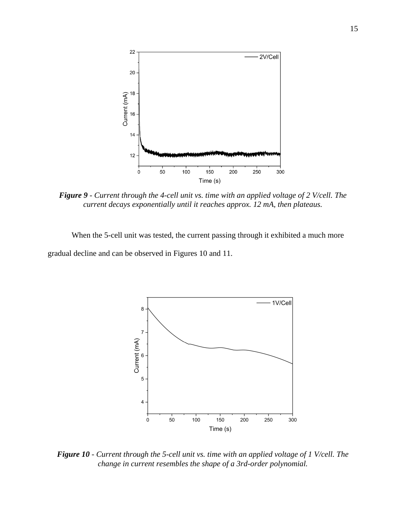

*Figure 9 - Current through the 4-cell unit vs. time with an applied voltage of 2 V/cell. The current decays exponentially until it reaches approx. 12 mA, then plateaus.*

When the 5-cell unit was tested, the current passing through it exhibited a much more gradual decline and can be observed in Figures 10 and 11.



*Figure 10 - Current through the 5-cell unit vs. time with an applied voltage of 1 V/cell. The change in current resembles the shape of a 3rd-order polynomial.*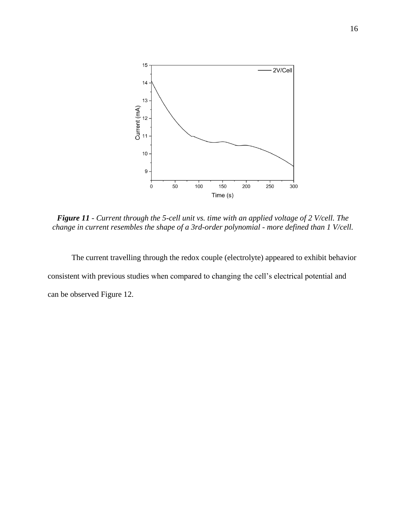

*Figure 11 - Current through the 5-cell unit vs. time with an applied voltage of 2 V/cell. The change in current resembles the shape of a 3rd-order polynomial - more defined than 1 V/cell.*

The current travelling through the redox couple (electrolyte) appeared to exhibit behavior consistent with previous studies when compared to changing the cell's electrical potential and can be observed Figure 12.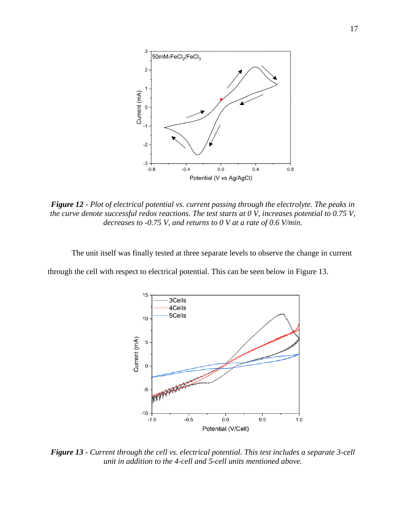

*Figure 12 - Plot of electrical potential vs. current passing through the electrolyte. The peaks in the curve denote successful redox reactions. The test starts at 0 V, increases potential to 0.75 V, decreases to -0.75 V, and returns to 0 V at a rate of 0.6 V/min.*

The unit itself was finally tested at three separate levels to observe the change in current

through the cell with respect to electrical potential. This can be seen below in Figure 13.



*Figure 13 - Current through the cell vs. electrical potential. This test includes a separate 3-cell unit in addition to the 4-cell and 5-cell units mentioned above.*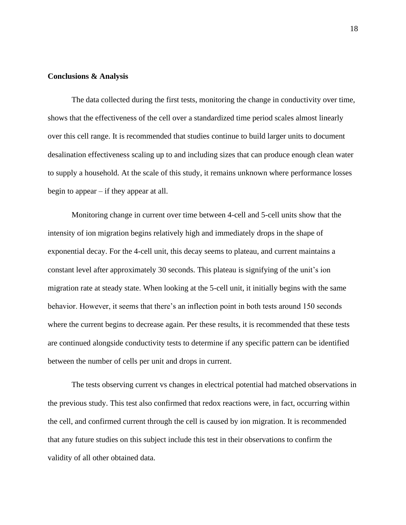#### **Conclusions & Analysis**

The data collected during the first tests, monitoring the change in conductivity over time, shows that the effectiveness of the cell over a standardized time period scales almost linearly over this cell range. It is recommended that studies continue to build larger units to document desalination effectiveness scaling up to and including sizes that can produce enough clean water to supply a household. At the scale of this study, it remains unknown where performance losses begin to appear – if they appear at all.

Monitoring change in current over time between 4-cell and 5-cell units show that the intensity of ion migration begins relatively high and immediately drops in the shape of exponential decay. For the 4-cell unit, this decay seems to plateau, and current maintains a constant level after approximately 30 seconds. This plateau is signifying of the unit's ion migration rate at steady state. When looking at the 5-cell unit, it initially begins with the same behavior. However, it seems that there's an inflection point in both tests around 150 seconds where the current begins to decrease again. Per these results, it is recommended that these tests are continued alongside conductivity tests to determine if any specific pattern can be identified between the number of cells per unit and drops in current.

The tests observing current vs changes in electrical potential had matched observations in the previous study. This test also confirmed that redox reactions were, in fact, occurring within the cell, and confirmed current through the cell is caused by ion migration. It is recommended that any future studies on this subject include this test in their observations to confirm the validity of all other obtained data.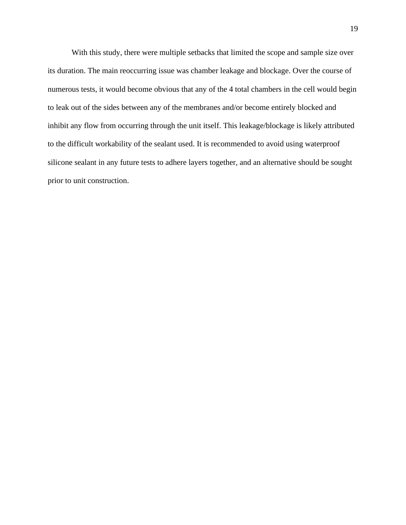With this study, there were multiple setbacks that limited the scope and sample size over its duration. The main reoccurring issue was chamber leakage and blockage. Over the course of numerous tests, it would become obvious that any of the 4 total chambers in the cell would begin to leak out of the sides between any of the membranes and/or become entirely blocked and inhibit any flow from occurring through the unit itself. This leakage/blockage is likely attributed to the difficult workability of the sealant used. It is recommended to avoid using waterproof silicone sealant in any future tests to adhere layers together, and an alternative should be sought prior to unit construction.